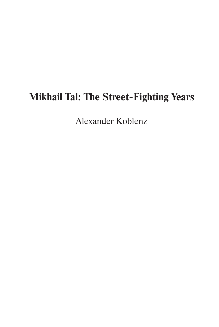# **Mikhail Tal: The Street-Fighting Years**

Alexander Koblenz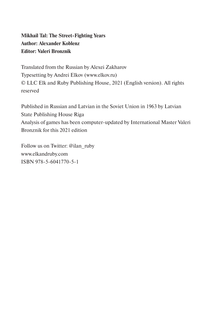## **Mikhail Tal: The Street-Fighting Years Author: Alexander Koblenz Editor: Valeri Bronznik**

Translated from the Russian by Alexei Zakharov Typesetting by Andrei Elkov (www.elkov.ru) © LLC Elk and Ruby Publishing House, 2021 (English version). All rights reserved

Published in Russian and Latvian in the Soviet Union in 1963 by Latvian State Publishing House Riga Analysis of games has been computer-updated by International Master Valeri Bronznik for this 2021 edition

Follow us on Twitter: @ilan\_ruby www.elkandruby.com ISBN 978-5-6041770-5-1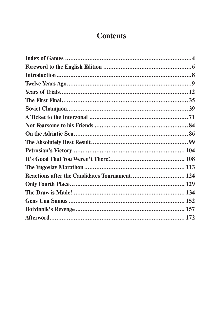## **Contents**

| Reactions after the Candidates Tournament 124 |  |
|-----------------------------------------------|--|
|                                               |  |
|                                               |  |
|                                               |  |
|                                               |  |
|                                               |  |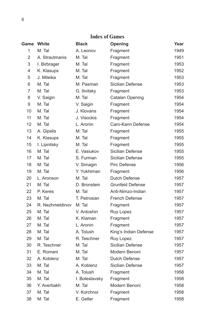#### **Index of Games**

| Game           | White           | <b>Black</b>   | Opening                 | Year |
|----------------|-----------------|----------------|-------------------------|------|
| 1              | M. Tal          | A. Leonov      | Fragment                | 1949 |
| 2              | A. Strautmanis  | M. Tal         | Fragment                | 1951 |
| 3              | I. Birbrager    | M. Tal         | Fragment                | 1953 |
| 4              | K. Klasups      | M. Tal         | Fragment                | 1952 |
| 5              | J. Mileika      | M. Tal         | Fragment                | 1953 |
| 6              | M. Tal          | M. Pasman      | Sicilian Defense        | 1953 |
| $\overline{7}$ | M. Tal          | G. Ilivitsky   | Fragment                | 1953 |
| 8              | V. Saigin       | M. Tal         | Catalan Opening         | 1954 |
| 9              | M. Tal          | V. Saigin      | Fragment                | 1954 |
| 10             | M. Tal          | J. Klovans     | Fragment                | 1954 |
| 11             | M. Tal          | J. Visockis    | Fragment                | 1954 |
| 12             | M. Tal          | L. Aronin      | Caro-Kann Defense       | 1954 |
| 13             | A. Gipslis      | M. Tal         | Fragment                | 1955 |
| 14             | K. Klasups      | M. Tal         | Fragment                | 1955 |
| 15             | I. Lipnitsky    | M. Tal         | Fragment                | 1955 |
| 16             | M. Tal          | E. Vasiukov    | Sicilian Defense        | 1955 |
| 17             | M. Tal          | S. Furman      | Sicilian Defense        | 1955 |
| 18             | M. Tal          | V. Simagin     | Pirc Defense            | 1956 |
| 19             | M. Tal          | Y. Yukhtman    | Fragment                | 1956 |
| 20             | L. Aronson      | M. Tal         | Dutch Defense           | 1957 |
| 21             | M. Tal          | D. Bronstein   | <b>Grunfeld Defense</b> | 1957 |
| 22             | P. Keres        | M. Tal         | Anti-Nimzo-Indian       | 1957 |
| 23             | M. Tal          | T. Petrosian   | <b>French Defense</b>   | 1957 |
| 24             | R. Nezhmetdinov | M. Tal         | Fragment                | 1957 |
| 25             | M. Tal          | V. Antoshin    | Ruy Lopez               | 1957 |
| 26             | M. Tal          | K. Klaman      | Fragment                | 1957 |
| 27             | M. Tal          | L. Aronin      | Fragment                | 1957 |
| 28             | M. Tal          | A. Tolush      | King's Indian Defense   | 1957 |
| 29             | M. Tal          | R. Teschner    | Ruy Lopez               | 1957 |
| 30             | R. Teschner     | M. Tal         | Sicilian Defense        | 1957 |
| 31             | E. Romani       | M. Tal         | Modern Benoni           | 1957 |
| 32             | A. Koblenz      | M. Tal         | Dutch Defense           | 1957 |
| 33             | M. Tal          | A. Koblenz     | Sicilian Defense        | 1957 |
| 34             | M. Tal          | A. Tolush      | Fragment                | 1958 |
| 35             | M. Tal          | I. Boleslavsky | Fragment                | 1958 |
| 36             | Y. Averbakh     | M. Tal         | Modern Benoni           | 1958 |
| 37             | M. Tal          | V. Korchnoi    | Fragment                | 1958 |
| 38             | M. Tal          | E. Geller      | Fragment                | 1958 |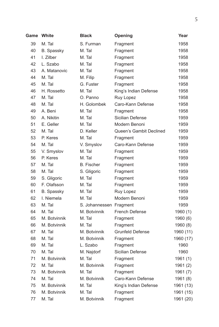| <b>Game White</b> |              | <b>Black</b>      | Opening                 | Year      |
|-------------------|--------------|-------------------|-------------------------|-----------|
| 39                | M. Tal       | S. Furman         | Fragment                | 1958      |
| 40                | B. Spassky   | M. Tal            | Fragment                | 1958      |
| 41                | I. Zilber    | M. Tal            | Fragment                | 1958      |
| 42                | L. Szabo     | M. Tal            | Fragment                | 1958      |
| 43                | A. Matanovic | M. Tal            | Fragment                | 1958      |
| 44                | M. Tal       | M. Filip          | Fragment                | 1958      |
| 45                | M. Tal       | G. Fuster         | Fragment                | 1958      |
| 46                | H. Rossetto  | M. Tal            | King's Indian Defense   | 1958      |
| 47                | M. Tal       | O. Panno          | Ruy Lopez               | 1958      |
| 48                | M. Tal       | H. Golombek       | Caro-Kann Defense       | 1958      |
| 49                | A. Beni      | M. Tal            | Fragment                | 1958      |
| 50                | A. Nikitin   | M. Tal            | Sicilian Defense        | 1959      |
| 51                | E. Geller    | M. Tal            | Modern Benoni           | 1959      |
| 52                | M. Tal       | D. Keller         | Queen's Gambit Declined | 1959      |
| 53                | P. Keres     | M. Tal            | Fragment                | 1959      |
| 54                | M. Tal       | V. Smyslov        | Caro-Kann Defense       | 1959      |
| 55                | V. Smyslov   | M. Tal            | Fragment                | 1959      |
| 56                | P. Keres     | M. Tal            | Fragment                | 1959      |
| 57                | M. Tal       | <b>B.</b> Fischer | Fragment                | 1959      |
| 58                | M. Tal       | S. Gligoric       | Fragment                | 1959      |
| 59                | S. Gligoric  | M. Tal            | Fragment                | 1959      |
| 60                | F. Olafsson  | M. Tal            | Fragment                | 1959      |
| 61                | B. Spassky   | M. Tal            | Ruy Lopez               | 1959      |
| 62                | I. Niemela   | M. Tal            | Modern Benoni           | 1959      |
| 63                | M. Tal       | S. Johannessen    | Fragment                | 1959      |
| 64                | M. Tal       | M. Botvinnik      | French Defense          | 1960 (1)  |
| 65                | M. Botvinnik | M. Tal            | Fragment                | 1960 (6)  |
| 66                | M. Botvinnik | M. Tal            | Fragment                | 1960 (8)  |
| 67                | M. Tal       | M. Botvinnik      | <b>Grunfeld Defense</b> | 1960 (11) |
| 68                | M. Tal       | M. Botvinnik      | Fragment                | 1960 (17) |
| 69                | M. Tal       | L. Szabo          | Fragment                | 1960      |
| 70                | M. Tal       | M. Najdorf        | Sicilian Defense        | 1960      |
| 71                | M. Botvinnik | M. Tal            | Fragment                | 1961 (1)  |
| 72                | M. Tal       | M. Botvinnik      | Fragment                | 1961 (2)  |
| 73                | M. Botvinnik | M. Tal            | Fragment                | 1961 (7)  |
| 74                | M. Tal       | M. Botvinnik      | Caro-Kann Defense       | 1961 (8)  |
| 75                | M. Botvinnik | M. Tal            | King's Indian Defense   | 1961 (13) |
| 76                | M. Botvinnik | M. Tal            | Fragment                | 1961 (15) |
| 77                | M. Tal       | M. Botvinnik      | Fragment                | 1961 (20) |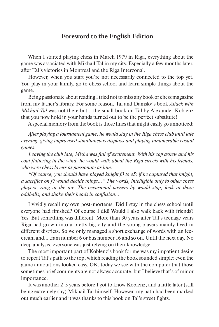#### **Foreword to the English Edition**

When I started playing chess in March 1979 in Riga, everything about the game was associated with Mikhail Tal in my city. Especially a few months later, after Tal's victories in Montreal and the Riga Interzonal.

However, when you start you're not necessarily connected to the top yet. You play in your family, go to chess school and learn simple things about the game.

Being passionate about reading I tried not to miss any book or chess magazine from my father's library. For some reason, Tal and Damsky's book *Attack with Mikhail Tal* was not there but... the small book on Tal by Alexander Koblenz that you now hold in your hands turned out to be the perfect substitute!

A special memory from the book is those lines that might easily go unnoticed:

*After playing a tournament game, he would stay in the Riga chess club until late evening, giving improvised simultaneous displays and playing innumerable casual games.*

*Leaving the club late, Misha was full of excitement. With his cap askew and his coat fluttering in the wind, he would walk about the Riga streets with his friends, who were chess lovers as passionate as him.*

*"Of course, you should have played knight f3 to e5; if he captured that knight, a sacrifice on f7 would decide things…" The words, intelligible only to other chess players, rang in the air. The occasional passers-by would stop, look at those oddballs, and shake their heads in confusion…*

I vividly recall my own post-mortems. Did I stay in the chess school until everyone had finished? Of course I did! Would I also walk back with friends? Yes! But something was different. More than 30 years after Tal's teenage years Riga had grown into a pretty big city and the young players mainly lived in different districts. So we only managed a short exchange of words with an icecream and... tram number 6 or bus number 16 and so on. Until the next day. No deep analysis, everyone was just relying on their knowledge.

The most important part of Koblenz's book for me was my impatient desire to repeat Tal's path to the top, which reading the book sounded simple: even the game annotations looked easy. OK, today we see with the computer that those sometimes brief comments are not always accurate, but I believe that's of minor importance.

It was another 2-3 years before I got to know Koblenz, and a little later (still being extremely shy) Mikhail Tal himself. However, my path had been marked out much earlier and it was thanks to this book on Tal's street fights.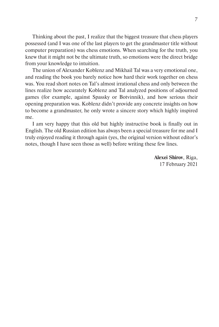Thinking about the past, I realize that the biggest treasure that chess players possessed (and I was one of the last players to get the grandmaster title without computer preparation) was chess emotions. When searching for the truth, you knew that it might not be the ultimate truth, so emotions were the direct bridge from your knowledge to intuition.

The union of Alexander Koblenz and Mikhail Tal was a very emotional one, and reading the book you barely notice how hard their work together on chess was. You read short notes on Tal's almost irrational chess and only between the lines realize how accurately Koblenz and Tal analyzed positions of adjourned games (for example, against Spassky or Botvinnik), and how serious their opening preparation was. Koblenz didn't provide any concrete insights on how to become a grandmaster, he only wrote a sincere story which highly inspired me.

I am very happy that this old but highly instructive book is finally out in English. The old Russian edition has always been a special treasure for me and I truly enjoyed reading it through again (yes, the original version without editor's notes, though I have seen those as well) before writing these few lines.

> **Alexei Shirov**, Riga, 17 February 2021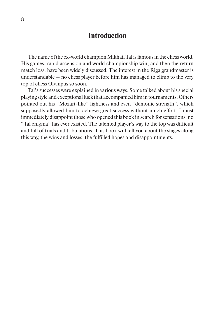## **Introduction**

The name of the ex-world champion Mikhail Tal is famous in the chess world. His games, rapid ascension and world championship win, and then the return match loss, have been widely discussed. The interest in the Riga grandmaster is understandable – no chess player before him has managed to climb to the very top of chess Olympus so soon.

Tal's successes were explained in various ways. Some talked about his special playing style and exceptional luck that accompanied him in tournaments. Others pointed out his "Mozart-like" lightness and even "demonic strength", which supposedly allowed him to achieve great success without much effort. I must immediately disappoint those who opened this book in search for sensations: no "Tal enigma" has ever existed. The talented player's way to the top was difficult and full of trials and tribulations. This book will tell you about the stages along this way, the wins and losses, the fulfilled hopes and disappointments.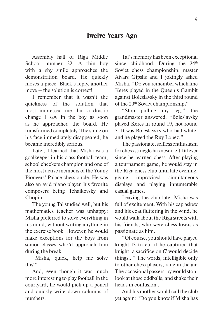### **Twelve Years Ago**

Assembly hall of Riga Middle School number 22. A thin boy with a shy smile approaches the demonstration board. He quickly moves a piece. Black's reply, another move – the solution is correct!

I remember that it wasn't the quickness of the solution that most impressed me, but a drastic change I saw in the boy as soon as he approached the board. He transformed completely. The smile on his face immediately disappeared, he became incredibly serious.

Later, I learned that Misha was a goalkeeper in his class football team, school checkers champion and one of the most active members of the Young Pioneers' Palace chess circle. He was also an avid piano player, his favorite composers being Tchaikovsky and Chopin.

The young Tal studied well, but his mathematics teacher was unhappy: Misha preferred to solve everything in his mind, without writing anything in the exercise book. However, he would make exceptions for the boys from senior classes who'd approach him during the break.

"Misha, quick, help me solve this!"

And, even though it was much more interesting to play football in the courtyard, he would pick up a pencil and quickly write down columns of numbers.

Tal's memory has been exceptional since childhood. During the 24<sup>th</sup> Soviet chess championship, master Aivars Gipslis and I jokingly asked Misha, "Do you remember which line Keres played in the Queen's Gambit against Boleslavsky in the third round of the 20th Soviet championship?"

"Stop pulling my leg," the grandmaster answered. "Boleslavsky played Keres in round 19, not round 3. It was Boleslavsky who had white, and he played the Ruy Lopez."

The passionate, selfless enthusiasm for chess struggle has never left Tal ever since he learned chess. After playing a tournament game, he would stay in the Riga chess club until late evening, giving improvised simultaneous displays and playing innumerable casual games.

Leaving the club late, Misha was full of excitement. With his cap askew and his coat fluttering in the wind, he would walk about the Riga streets with his friends, who were chess lovers as passionate as him.

"Of course, you should have played knight f3 to e5; if he captured that knight, a sacrifice on f7 would decide things…" The words, intelligible only to other chess players, rang in the air. The occasional passers-by would stop, look at those oddballs, and shake their heads in confusion…

And his mother would call the club yet again: "Do you know if Misha has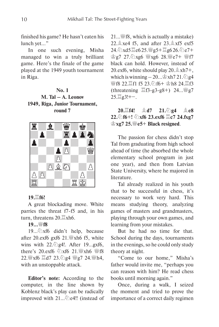finished his game? He hasn't eaten his lunch yet…"

In one such evening, Misha managed to win a truly brilliant game. Here's the finale of the game played at the 1949 youth tournament in Riga.

#### **No. 1 M. Tal – A. Leonov 1949, Riga, Junior Tournament, round 7**



#### **19.**G**f6!**

A great blockading move. White parries the threat f7-f5 and, in his turn, threatens  $20.\nexists xh6$ .

#### **19...**I**f8**

19... $\&$ xf6 didn't help, because after 20. $exf6$  gxf6 21. $\frac{100}{100}$  xh6 f5, white wins with  $22.\text{\textdegreeled{2}}$ g4!. After 19...gxf6, there's 20.exf6  $\oslash$ xf6 21. Wixh6 Wif8 22. W xf6  $\Xi$ d7 23. 2g4 Wg7 24. Wh4, with an unstoppable attack.

**Editor's note:** According to the computer, in the line shown by Koblenz black's play can be radically improved with 21... De4!! (instead of  $21...$   $8.$  which is actually a mistake) 22. $\&$  xe4 f5, and after 23. $\&$  xf5 exf5 24.Cxd5 Ge6 25.Ig5+ Gg6 26.Ce7+ 曾g7 27. 公xg6 幽xg6 28. 幽e7+ 幽f7 black can hold. However, instead of 20.exf6, white should play  $20.\angle$   $\&$  xh7+, which is winning  $-20$ ...  $\&$  xh7 21. $\&$ )g4 營f8 22. hf1 f5 23. hf6+ \ph8 24. hf3 (threatening  $\angle$ f3-g3-g8+) 24...  $\angle$ g7  $25.\Xi$ g $3!+-$ .

**20. f4!** *L***<sub>d</sub>7 21. g4** *L***<sub>e</sub>8 22.**①f6+! ②xf6 23.exf6  $\Xi$ c7 24.fxg7 K**xg7 25.**I**e5**+ **Black resigned**.

The passion for chess didn't stop Tal from graduating from high school ahead of time (he absorbed the whole elementary school program in just one year), and then from Latvian State University, where he majored in literature.

Tal already realized in his youth that to be successful in chess, it's necessary to work very hard. This means studying theory, analyzing games of masters and grandmasters, playing through your own games, and learning from your mistakes.

But he had no time for that. School during the days, tournaments in the evenings, so he could only study theory at night.

"Come to our home," Misha's father would invite me, "perhaps you can reason with him? He read chess books until morning again."

Once, during a walk, I seized the moment and tried to prove the importance of a correct daily regimen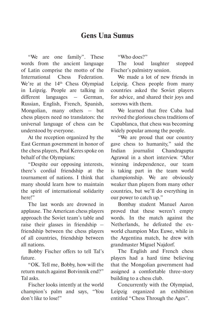## **Gens Una Sumus**

"We are one family". These words from the ancient language of Latin comprise the motto of the International Chess Federation. We're at the 14<sup>th</sup> Chess Olympiad in Leipzig. People are talking in different languages – German, Russian, English, French, Spanish, Mongolian, many others – but chess players need no translators: the universal language of chess can be understood by everyone.

At the reception organized by the East German government in honor of the chess players, Paul Keres spoke on behalf of the Olympians:

"Despite our opposing interests, there's cordial friendship at the tournament of nations. I think that many should learn how to maintain the spirit of international solidarity here!"

The last words are drowned in applause. The American chess players approach the Soviet team's table and raise their glasses in friendship – friendship between the chess players of all countries, friendship between all nations.

Bobby Fischer offers to tell Tal's future.

"OK. Tell me, Bobby, how will the return match against Botvinnik end?" Tal asks.

Fischer looks intently at the world champion's palm and says, "You don't like to lose!"

"Who does?"

The loud laughter stopped Fischer's palmistry session.

We made a lot of new friends in Leipzig. Chess people from many countries asked the Soviet players for advice, and shared their joys and sorrows with them.

We learned that free Cuba had revived the glorious chess traditions of Capablanca, that chess was becoming widely popular among the people.

"We are proud that our country gave chess to humanity," said the Indian journalist Chandragupta Agrawal in a short interview. "After winning independence, our team is taking part in the team world championship. We are obviously weaker than players from many other countries, but we'll do everything in our power to catch up."

Bombay student Manuel Aaron proved that these weren't empty words. In the match against the Netherlands, he defeated the exworld champion Max Euwe, while in the Argentina match, he drew with grandmaster Miguel Najdorf.

The English and French chess players had a hard time believing that the Mongolian government had assigned a comfortable three-story building to a chess club.

Concurrently with the Olympiad, Leipzig organized an exhibition entitled "Chess Through the Ages".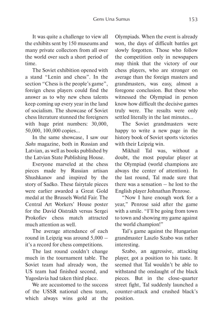It was quite a challenge to view all the exhibits sent by 150 museums and many private collectors from all over the world over such a short period of time.

The Soviet exhibition opened with a stand "Lenin and chess". In the section "Chess is the people's game", foreign chess players could find the answer as to why new chess talents keep coming up every year in the land of socialism. The showcase of Soviet chess literature stunned the foreigners with huge print numbers: 30,000, 50,000, 100,000 copies…

In the same showcase, I saw our *Sahs* magazine, both in Russian and Latvian, as well as books published by the Latvian State Publishing House.

Everyone marveled at the chess pieces made by Russian artisan Shushkanov and inspired by the story of Sadko. These fairytale pieces were earlier awarded a Great Gold medal at the Brussels World Fair. The Central Art Workers' House poster for the David Oistrakh versus Sergei Prokofiev chess match attracted much attention as well.

The average attendance of each round in Leipzig was around 5,000 – it's a record for chess competitions.

The last round couldn't change much in the tournament table. The Soviet team had already won, the US team had finished second, and Yugoslavia had taken third place.

We are accustomed to the success of the USSR national chess team, which always wins gold at the

Olympiads. When the event is already won, the days of difficult battles get slowly forgotten. Those who follow the competition only in newspapers may think that the victory of our chess players, who are stronger on average than the foreign masters and grandmasters, was easy, almost a foregone conclusion. But those who witnessed the Olympiad in person know how difficult the decisive games truly were. The results were only settled literally in the last minutes…

The Soviet grandmasters were happy to write a new page in the history book of Soviet sports victories with their Leipzig win.

Mikhail Tal was, without a doubt, the most popular player at the Olympiad (world champions are always the center of attention). In the last round, Tal made sure that there was a sensation – he lost to the English player Johnathan Penrose.

"Now I have enough work for a year," Penrose said after the game with a smile. "I'll be going from town to town and showing my game against the world champion!"

Tal's game against the Hungarian grandmaster Laszlo Szabo was rather interesting.

Szabo, an aggressive, attacking player, got a position to his taste. It seemed that Tal wouldn't be able to withstand the onslaught of the black pieces. But in the close-quarter street fight, Tal suddenly launched a counter-attack and crushed black's position.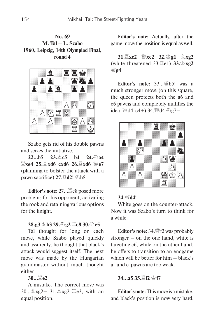**No. 69 M. Tal – L. Szabo 1960, Leipzig, 14th Olympiad Final, round 4**



Szabo gets rid of his double pawns and seizes the initiative.

**22...b5 23.**E**c5 b4 24.**C**a4**   $\mathbb{E}$ **xe4 25.** $\mathbb{\hat{A}}$ **xd6 cxd6 26.** $\mathbb{E}$ **xd6**  $\mathbb{W}$ e7 (planning to bolster the attack with a **pawn sacrifice) 27.** $\angle$ **d2!** 2h5

**Editor's note:** 27... *Leas* posed more problems for his opponent, activating the rook and retaining various options for the knight.

#### **28.g3** *鱼h3 29.***②g2**  $\Xi$ **e8 30.④c5**

Tal thought for long on each move, while Szabo played quickly and assuredly: he thought that black's attack would suggest itself. The next move was made by the Hungarian grandmaster without much thought either.

#### **30...**G**e2**

A mistake. The correct move was  $30...\overset{\triangle}{\otimes}xg2+31.\overset{\triangle}{\otimes}xg2 \overset{\triangle}{\equiv}e3$ , with an equal position.

**Editor's note:** Actually, after the game move the position is equal as well.

**31. Exe2 ■ xe2 32. 宫g1 ▲ xg2** (white threatened 33.Ge1) **33.**K**xg2 幽**24

**Editor's note:**  $33...$   $165!$  was a much stronger move (on this square, the queen protects both the a6 and c6 pawns and completely nullifies the idea  $\mathbb{W}$ d4-c4+) 34. $\mathbb{W}$ d4  $\mathbb{Z}$ g7=.



#### **34.**<sup>*W*</sup>**d4!**

White goes on the counter-attack. Now it was Szabo's turn to think for a while.

Editor's note: 34. If 3 was probably stronger – on the one hand, white is targeting c6, while on the other hand, he offers to transition to an endgame which will be better for him – black's a- and c-pawns are too weak.

#### **34...a5 35.**G**f2** K**f7**

**Editor's note:** This move is a mistake, and black's position is now very hard.